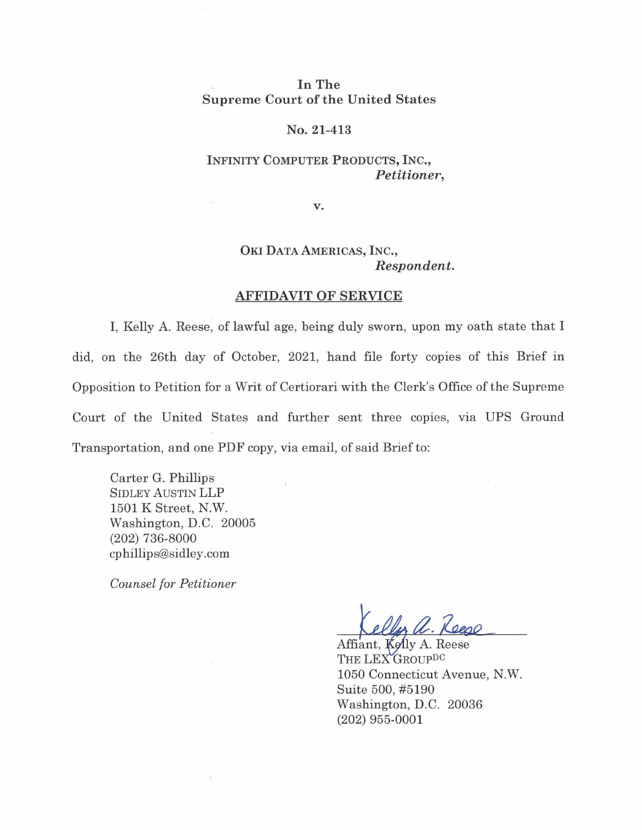## **In The Supreme Court of the United States**

#### **No. 21-413**

## **INFINITY COMPUTER PRODUCTS, INC.,**  *Petitioner,*

**v.** 

# **OKI DATA AMERICAS, INC.,**  *Respondent.*

#### **AFFIDAVIT OF SERVICE**

I, Kelly A. Reese, of lawful age, being duly sworn, upon my oath state that I did, on the 26th day of October, 2021, hand file forty copies of this Brief in Opposition to Petition for a Writ of Certiorari with the Clerk's Office of the Supreme Court of the United States and further sent three copies, via UPS Ground Transportation, and one PDF copy, via email, of said Brief to:

Carter G. Phillips SIDLEY AUSTIN LLP 1501 K Street, N.W. Washington, D.C. 20005 (202) 736-8000 cphillips@sidley.com

*Counsel for Petitioner* 

Affiant, Kelly A. Reese THE LEX GROUPDC 1050 Connecticut Avenue, N.W. Suite 500, #5190 Washington, D.C. 20036 (202) 955-0001